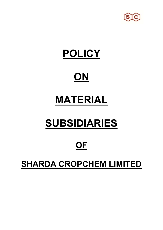

## **POLICY**

### **ON**

# **MATERIAL**

# **SUBSIDIARIES**

### **OF**

### **SHARDA CROPCHEM LIMITED**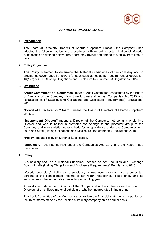

#### **1. Introduction**

The Board of Directors ('Board') of Sharda Cropchem Limited ('the Company') has adopted the following policy and procedures with regard to determination of Material Subsidiaries as defined below. The Board may review and amend this policy from time to time.

#### **2. Policy Objective**

This Policy is framed to determine the Material Subsidiaries of the company and to provide the governance framework for such subsidiaries as per requirement of Regulation 16(1)(c) of SEBI (Listing Obligations and Disclosure Requirements) Regulations, 2015 .

#### **3. Definitions**

**"Audit Committee"** or **"Committee"** means "Audit Committee" constituted by the Board of Directors of the Company, from time to time and as per Companies Act 2013 and Regulation 18 of SEBI (Listing Obligations and Disclosure Requirements) Regulations, 2015.

**"Board of Directors"** or **"Board"** means the Board of Directors of Sharda Cropchem Limited.

**"Independent Director"** means a Director of the Company, not being a whole-time Director and who is neither a promoter nor belongs to the promoter group of the Company and who satisfies other criteria for independence under the Companies Act, 2013 and SEBI (Listing Obligations and Disclosure Requirements) Regulations.2015.

**"Policy"** means Policy on Material Subsidiaries.

**"Subsidiary"** shall be defined under the Companies Act, 2013 and the Rules made thereunder.

#### **4. Policy**

 A subsidiary shall be a Material Subsidiary, defined as per Securities and Exchange Board of India (Listing Obligations and Disclosure Requirements) Regulations, 2015.

 "Material subsidiary" shall mean a subsidiary, whose income or net worth exceeds ten percent of the consolidated income or net worth respectively, listed entity and its subsidiaries in the immediately preceding accounting year.

At least one Independent Director of the Company shall be a director on the Board of Directors of an unlisted material subsidiary, whether incorporated in India or not.

The Audit Committee of the Company shall review the financial statements, in particular, the investments made by the unlisted subsidiary company on an annual basis.